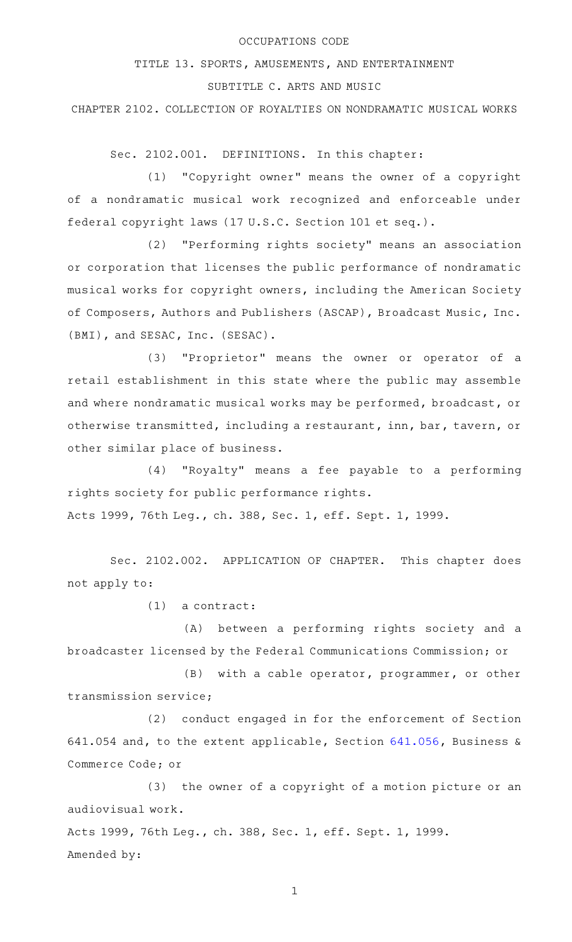## OCCUPATIONS CODE

TITLE 13. SPORTS, AMUSEMENTS, AND ENTERTAINMENT

## SUBTITLE C. ARTS AND MUSIC

CHAPTER 2102. COLLECTION OF ROYALTIES ON NONDRAMATIC MUSICAL WORKS

Sec. 2102.001. DEFINITIONS. In this chapter:

(1) "Copyright owner" means the owner of a copyright of a nondramatic musical work recognized and enforceable under federal copyright laws (17 U.S.C. Section 101 et seq.).

(2) "Performing rights society" means an association or corporation that licenses the public performance of nondramatic musical works for copyright owners, including the American Society of Composers, Authors and Publishers (ASCAP), Broadcast Music, Inc. (BMI), and SESAC, Inc. (SESAC).

(3) "Proprietor" means the owner or operator of a retail establishment in this state where the public may assemble and where nondramatic musical works may be performed, broadcast, or otherwise transmitted, including a restaurant, inn, bar, tavern, or other similar place of business.

 $(4)$  "Royalty" means a fee payable to a performing rights society for public performance rights. Acts 1999, 76th Leg., ch. 388, Sec. 1, eff. Sept. 1, 1999.

Sec. 2102.002. APPLICATION OF CHAPTER. This chapter does not apply to:

 $(1)$  a contract:

(A) between a performing rights society and a broadcaster licensed by the Federal Communications Commission; or

(B) with a cable operator, programmer, or other transmission service;

(2) conduct engaged in for the enforcement of Section 641.054 and, to the extent applicable, Section [641.056](http://www.statutes.legis.state.tx.us/GetStatute.aspx?Code=BC&Value=641.056), Business & Commerce Code; or

(3) the owner of a copyright of a motion picture or an audiovisual work.

Acts 1999, 76th Leg., ch. 388, Sec. 1, eff. Sept. 1, 1999. Amended by:

1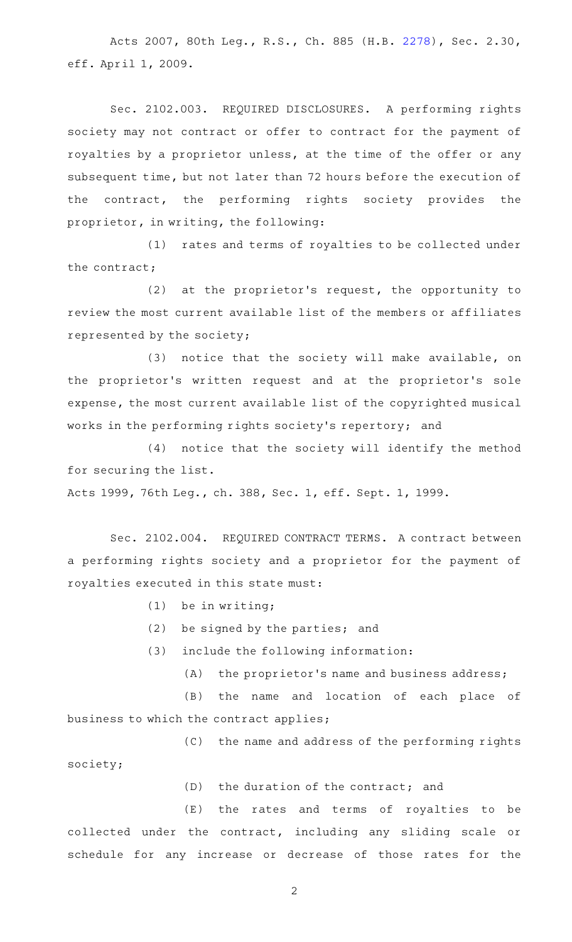Acts 2007, 80th Leg., R.S., Ch. 885 (H.B. [2278\)](http://www.legis.state.tx.us/tlodocs/80R/billtext/html/HB02278F.HTM), Sec. 2.30, eff. April 1, 2009.

Sec. 2102.003. REQUIRED DISCLOSURES. A performing rights society may not contract or offer to contract for the payment of royalties by a proprietor unless, at the time of the offer or any subsequent time, but not later than 72 hours before the execution of the contract, the performing rights society provides the proprietor, in writing, the following:

(1) rates and terms of royalties to be collected under the contract;

(2) at the proprietor's request, the opportunity to review the most current available list of the members or affiliates represented by the society;

(3) notice that the society will make available, on the proprietor's written request and at the proprietor's sole expense, the most current available list of the copyrighted musical works in the performing rights society's repertory; and

(4) notice that the society will identify the method for securing the list.

Acts 1999, 76th Leg., ch. 388, Sec. 1, eff. Sept. 1, 1999.

Sec. 2102.004. REQUIRED CONTRACT TERMS. A contract between a performing rights society and a proprietor for the payment of royalties executed in this state must:

- $(1)$  be in writing;
- $(2)$  be signed by the parties; and
- (3) include the following information:
	- $(A)$  the proprietor's name and business address;

(B) the name and location of each place of business to which the contract applies;

(C) the name and address of the performing rights society;

 $(D)$  the duration of the contract; and

(E) the rates and terms of royalties to be collected under the contract, including any sliding scale or schedule for any increase or decrease of those rates for the

2